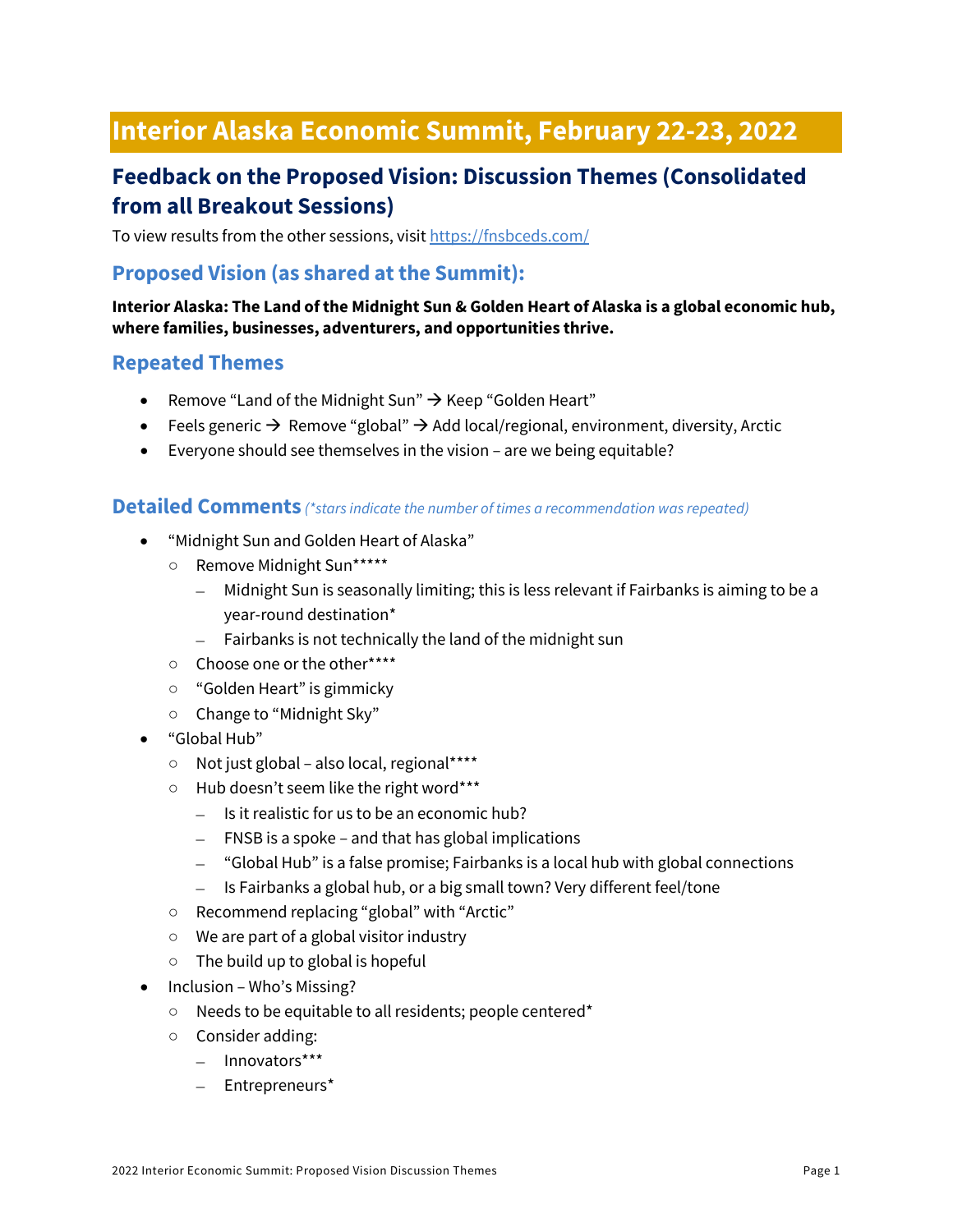# **Interior Alaska Economic Summit, February 22-23, 2022**

## **Feedback on the Proposed Vision: Discussion Themes (Consolidated from all Breakout Sessions)**

To view results from the other sessions, visi[t https://fnsbceds.com/](https://fnsbceds.com/)

### **Proposed Vision (as shared at the Summit):**

#### **Interior Alaska: The Land ofthe Midnight Sun & Golden Heart of Alaska is a global economic hub, where families, businesses, adventurers, and opportunities thrive.**

#### **Repeated Themes**

- Remove "Land of the Midnight Sun"  $\rightarrow$  Keep "Golden Heart"
- Feels generic  $\rightarrow$  Remove "global"  $\rightarrow$  Add local/regional, environment, diversity, Arctic
- Everyone should see themselves in the vision are we being equitable?

#### **Detailed Comments** *(\*stars indicate the number of times a recommendation was repeated)*

- "Midnight Sun and Golden Heart of Alaska"
	- Remove Midnight Sun\*\*\*\*\*
		- Midnight Sun is seasonally limiting; this is less relevant if Fairbanks is aiming to be a year-round destination\*
		- Fairbanks is not technically the land of the midnight sun
	- Choose one or the other\*\*\*\*
	- "Golden Heart" is gimmicky
	- Change to "Midnight Sky"
- "Global Hub"
	- Not just global also local, regional\*\*\*\*
	- Hub doesn't seem like the right word\*\*\*
		- Is it realistic for us to be an economic hub?
		- FNSB is a spoke and that has global implications
		- "Global Hub" is a false promise; Fairbanks is a local hub with global connections
		- Is Fairbanks a global hub, or a big small town? Very different feel/tone
	- Recommend replacing "global" with "Arctic"
	- We are part of a global visitor industry
	- $\circ$  The build up to global is hopeful
- Inclusion Who's Missing?
	- Needs to be equitable to all residents; people centered\*
	- Consider adding:
		- Innovators\*\*\*
		- Entrepreneurs\*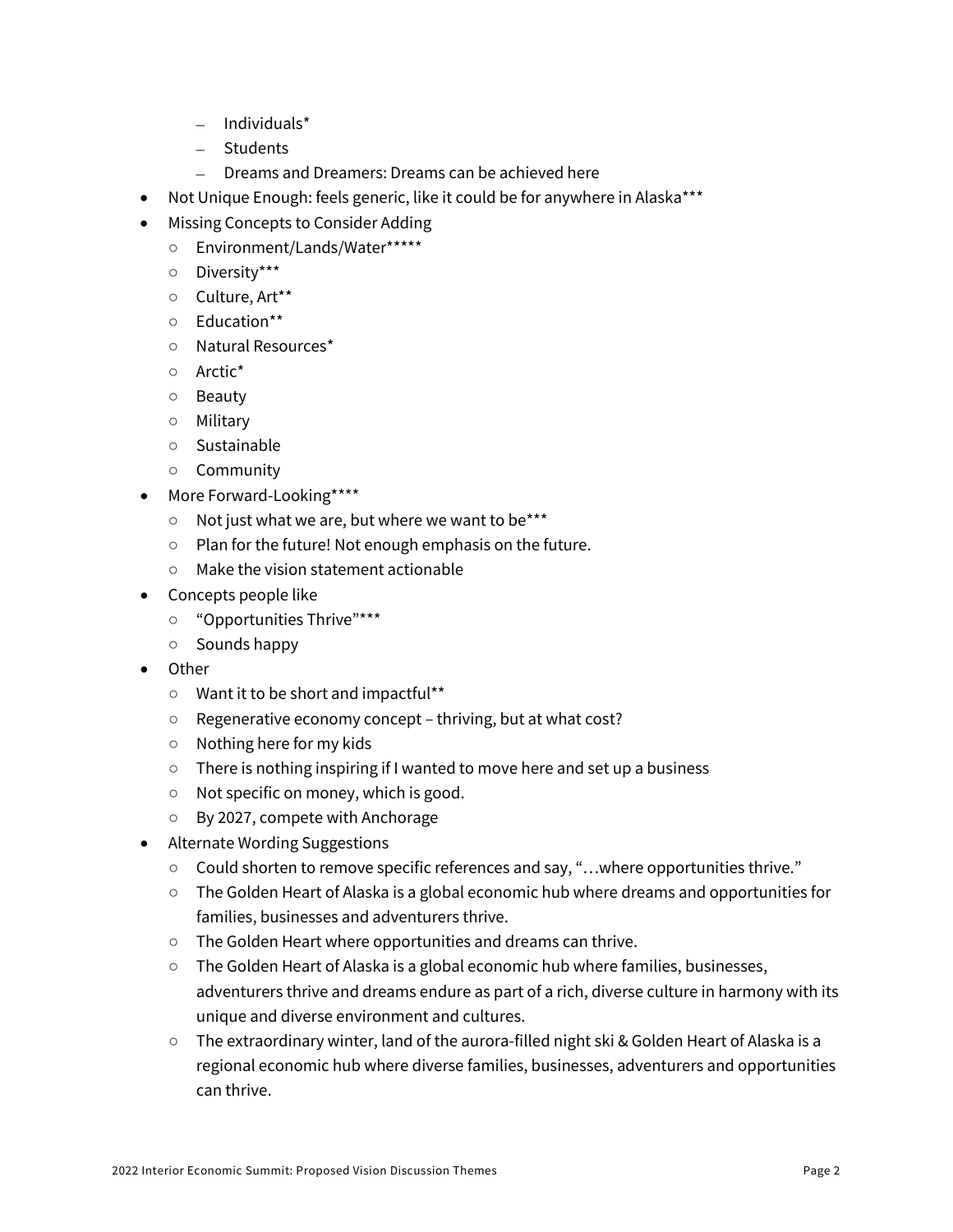- Individuals\*
- Students
- Dreams and Dreamers: Dreams can be achieved here
- Not Unique Enough: feels generic, like it could be for anywhere in Alaska\*\*\*
- Missing Concepts to Consider Adding
	- Environment/Lands/Water\*\*\*\*\*
	- Diversity\*\*\*
	- Culture, Art\*\*
	- Education\*\*
	- Natural Resources\*
	- Arctic\*
	- Beauty
	- Military
	- Sustainable
	- Community
- More Forward-Looking\*\*\*\*
	- Not just what we are, but where we want to be\*\*\*
	- Plan for the future! Not enough emphasis on the future.
	- Make the vision statement actionable
- Concepts people like
	- "Opportunities Thrive"\*\*\*
	- Sounds happy
- Other
	- Want it to be short and impactful\*\*
	- Regenerative economy concept thriving, but at what cost?
	- Nothing here for my kids
	- There is nothing inspiring if I wanted to move here and set up a business
	- Not specific on money, which is good.
	- By 2027, compete with Anchorage
- Alternate Wording Suggestions
	- Could shorten to remove specific references and say, "…where opportunities thrive."
	- The Golden Heart of Alaska is a global economic hub where dreams and opportunities for families, businesses and adventurers thrive.
	- The Golden Heart where opportunities and dreams can thrive.
	- The Golden Heart of Alaska is a global economic hub where families, businesses, adventurers thrive and dreams endure as part of a rich, diverse culture in harmony with its unique and diverse environment and cultures.
	- The extraordinary winter, land of the aurora-filled night ski & Golden Heart of Alaska is a regional economic hub where diverse families, businesses, adventurers and opportunities can thrive.